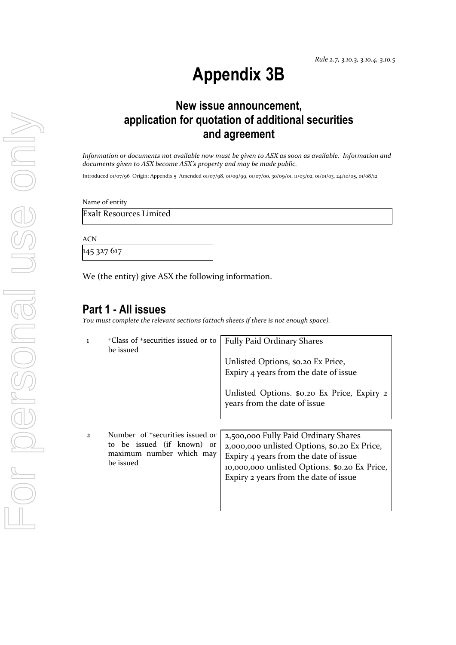# **Appendix 3B**

# **New issue announcement, application for quotation of additional securities and agreement**

*Information or documents not available now must be given to ASX as soon as available. Information and documents given to ASX become ASX's property and may be made public.*

Introduced 01/07/96 Origin: Appendix 5 Amended 01/07/98, 01/09/99, 01/07/00, 30/09/01, 11/03/02, 01/01/03, 24/10/05, 01/08/12

Name of entity

Exalt Resources Limited

ACN

145 327 617

We (the entity) give ASX the following information.

### **Part 1 - All issues**

*You must complete the relevant sections (attach sheets if there is not enough space).*

| $\mathbf{I}$  | <sup>+</sup> Class of <sup>+</sup> securities issued or to<br>be issued                                            | <b>Fully Paid Ordinary Shares</b>                                                                                                                                                                                       |
|---------------|--------------------------------------------------------------------------------------------------------------------|-------------------------------------------------------------------------------------------------------------------------------------------------------------------------------------------------------------------------|
|               |                                                                                                                    | Unlisted Options, \$0.20 Ex Price,<br>Expiry 4 years from the date of issue                                                                                                                                             |
|               |                                                                                                                    | Unlisted Options. \$0.20 Ex Price, Expiry 2<br>years from the date of issue                                                                                                                                             |
|               |                                                                                                                    |                                                                                                                                                                                                                         |
| $\mathcal{L}$ | Number of <sup>+</sup> securities issued or<br>to be issued (if known) or<br>maximum number which may<br>be issued | 2,500,000 Fully Paid Ordinary Shares<br>2,000,000 unlisted Options, \$0.20 Ex Price,<br>Expiry 4 years from the date of issue<br>10,000,000 unlisted Options. \$0.20 Ex Price,<br>Expiry 2 years from the date of issue |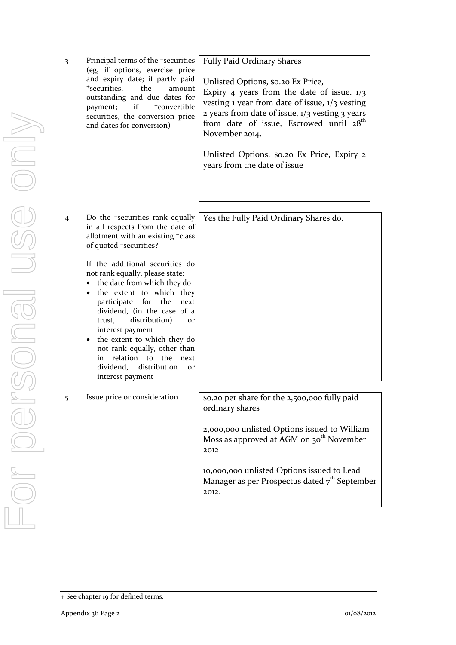3 Principal terms of the +securities (eg, if options, exercise price and expiry date; if partly paid <sup>+</sup>securities, the amount outstanding and due dates for payment; if  $+$ convertible securities, the conversion price and dates for conversion)

Fully Paid Ordinary Shares Unlisted Options, \$0.20 Ex Price, Expiry 4 years from the date of issue.  $1/3$ 

vesting 1 year from date of issue, 1/3 vesting 2 years from date of issue,  $1/3$  vesting 3 years from date of issue, Escrowed until  $28<sup>th</sup>$ November 2014.

Unlisted Options. \$0.20 Ex Price, Expiry 2 years from the date of issue

Yes the Fully Paid Ordinary Shares do.

4 Do the +securities rank equally in all respects from the date of allotment with an existing +class of quoted +securities?

> If the additional securities do not rank equally, please state:

- the date from which they do
- the extent to which they participate for the next dividend, (in the case of a trust, distribution) or interest payment
- the extent to which they do not rank equally, other than in relation to the next dividend, distribution or interest payment

5 Issue price or consideration | \$0.20 per share for the 2,500,000 fully paid ordinary shares

> 2,000,000 unlisted Options issued to William Moss as approved at AGM on  $30<sup>th</sup>$  November 2012

10,000,000 unlisted Options issued to Lead Manager as per Prospectus dated  $7<sup>th</sup>$  September 2012.

<sup>+</sup> See chapter 19 for defined terms.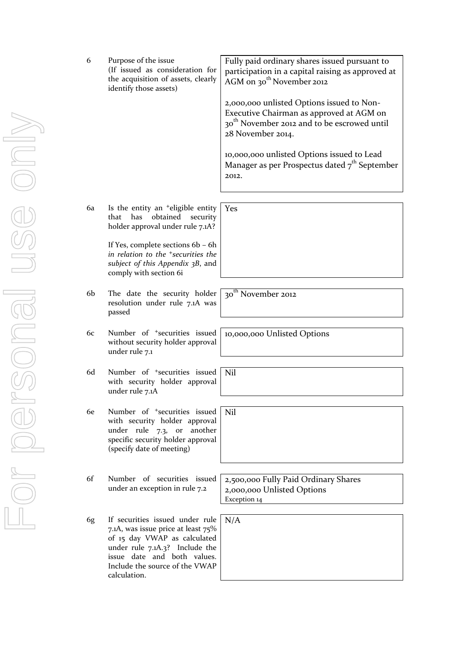|    | the acquisition of assets, clearly<br>identify those assets)                                                                                                                                                             | AGM on 30 <sup>th</sup> November 2012<br>2,000,000 unlisted Options issued to Non-<br>Executive Chairman as approved at AGM on<br>30 <sup>th</sup> November 2012 and to be escrowed until<br>28 November 2014.<br>10,000,000 unlisted Options issued to Lead<br>Manager as per Prospectus dated $7th$ September<br>2012. |
|----|--------------------------------------------------------------------------------------------------------------------------------------------------------------------------------------------------------------------------|--------------------------------------------------------------------------------------------------------------------------------------------------------------------------------------------------------------------------------------------------------------------------------------------------------------------------|
| 6a | Is the entity an <sup>+</sup> eligible entity<br>obtained<br>has<br>security<br>that<br>holder approval under rule 7.1A?                                                                                                 | Yes                                                                                                                                                                                                                                                                                                                      |
|    | If Yes, complete sections 6b - 6h<br>in relation to the <sup>+</sup> securities the<br>subject of this Appendix 3B, and<br>comply with section 6i                                                                        |                                                                                                                                                                                                                                                                                                                          |
| 6b | The date the security holder<br>resolution under rule 7.1A was<br>passed                                                                                                                                                 | 30 <sup>th</sup> November 2012                                                                                                                                                                                                                                                                                           |
| 6c | Number of <sup>+</sup> securities issued<br>without security holder approval<br>under rule 7.1                                                                                                                           | 10,000,000 Unlisted Options                                                                                                                                                                                                                                                                                              |
| 6d | Number of <sup>+</sup> securities issued<br>with security holder approval<br>under rule 7.1A                                                                                                                             | Nil                                                                                                                                                                                                                                                                                                                      |
| 6e | Number of <sup>+</sup> securities issued<br>with security holder approval<br>under rule 7.3,<br>another<br>or<br>specific security holder approval<br>(specify date of meeting)                                          | Nil                                                                                                                                                                                                                                                                                                                      |
| 6f | Number of securities issued<br>under an exception in rule 7.2                                                                                                                                                            | 2,500,000 Fully Paid Ordinary Shares<br>2,000,000 Unlisted Options<br>Exception 14                                                                                                                                                                                                                                       |
| 6g | If securities issued under rule<br>7.1A, was issue price at least 75%<br>of 15 day VWAP as calculated<br>under rule 7.1A.3? Include the<br>issue date and both values.<br>Include the source of the VWAP<br>calculation. | N/A                                                                                                                                                                                                                                                                                                                      |
|    |                                                                                                                                                                                                                          |                                                                                                                                                                                                                                                                                                                          |

Fully paid ordinary shares issued pursuant to participation in a capital raising as approved at

6 Purpose of the issue

(If issued as consideration for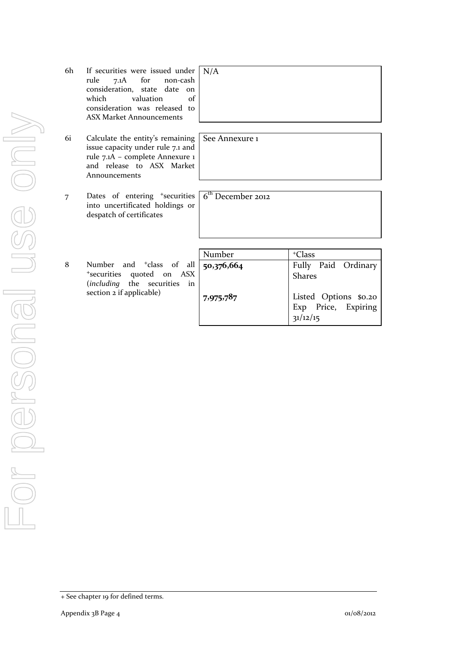- 6h If securities were issued under rule 7.1A for non-cash consideration, state date on which valuation of consideration was released to ASX Market Announcements N/A
- 6i Calculate the entity's remaining issue capacity under rule 7.1 and rule 7.1A – complete Annexure 1 and release to ASX Market Announcements
- 7 Dates of entering <sup>+</sup>securities into uncertificated holdings or despatch of certificates
- 8 Number and <sup>+</sup>class of all <sup>+</sup>securities quoted on ASX (*including* the securities in section 2 if applicable)

| Number     | <sup>+</sup> Class                                       |
|------------|----------------------------------------------------------|
| 50,376,664 | Fully Paid Ordinary<br><b>Shares</b>                     |
| 7,975,787  | Listed Options \$0.20<br>Exp Price, Expiring<br>31/12/15 |

See Annexure 1

6<sup>th</sup> December 2012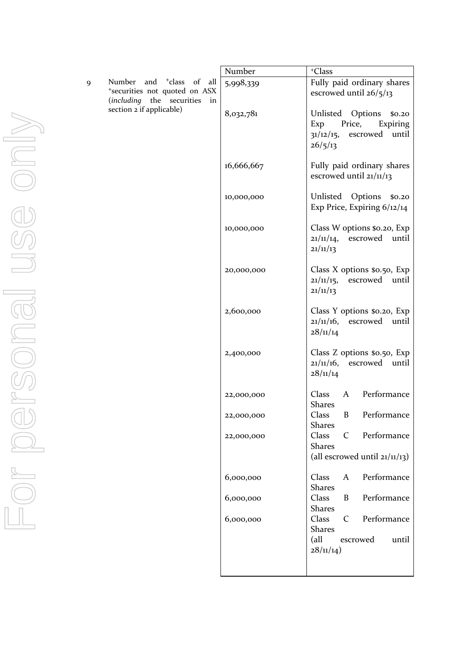|   |                                                                                                                      | Number     | <sup>+</sup> Class                                                                                   |
|---|----------------------------------------------------------------------------------------------------------------------|------------|------------------------------------------------------------------------------------------------------|
| 9 | of<br>all<br>Number<br>and<br><sup>+</sup> class<br>*securities not quoted on ASX<br>(including the securities<br>in | 5,998,339  | Fully paid ordinary shares<br>escrowed until $26/5/13$                                               |
|   | section 2 if applicable)                                                                                             | 8,032,781  | Unlisted Options<br>\$0.20<br>Exp<br>Price,<br>Expiring<br>escrowed until<br>$31/12/15$ ,<br>26/5/13 |
|   |                                                                                                                      | 16,666,667 | Fully paid ordinary shares<br>escrowed until 21/11/13                                                |
|   |                                                                                                                      | 10,000,000 | Unlisted<br>Options<br>\$0.20<br>Exp Price, Expiring 6/12/14                                         |
|   |                                                                                                                      | 10,000,000 | Class W options \$0.20, Exp<br>21/11/14,<br>escrowed<br>until<br>21/11/13                            |
|   |                                                                                                                      | 20,000,000 | Class X options \$0.50, Exp<br>$21/11/15$ ,<br>escrowed<br>until<br>21/11/13                         |
|   |                                                                                                                      | 2,600,000  | Class Y options \$0.20, Exp<br>$21/11/16$ ,<br>escrowed<br>until<br>28/11/14                         |
|   |                                                                                                                      | 2,400,000  | Class Z options \$0.50, Exp<br>$21/11/16$ ,<br>escrowed until<br>28/11/14                            |
|   |                                                                                                                      | 22,000,000 | Performance<br>Class<br>A<br><b>Shares</b>                                                           |
|   |                                                                                                                      | 22,000,000 | Performance<br>Class<br>$\boldsymbol{B}$<br><b>Shares</b>                                            |
|   |                                                                                                                      | 22,000,000 | Performance<br>Class<br>$\mathsf{C}$<br><b>Shares</b><br>(all escrowed until $21/11/13$ )            |
|   |                                                                                                                      | 6,000,000  | Performance<br>Class<br>$\mathbf{A}$                                                                 |
|   |                                                                                                                      | 6,000,000  | <b>Shares</b><br>Performance<br>Class<br>B<br><b>Shares</b>                                          |
|   |                                                                                                                      | 6,000,000  | Class<br>Performance<br>$\mathsf{C}$<br><b>Shares</b>                                                |
|   |                                                                                                                      |            | $\text{(all)}$<br>escrowed<br>until<br>28/11/14)                                                     |
|   |                                                                                                                      |            |                                                                                                      |

For personal use only For personal use only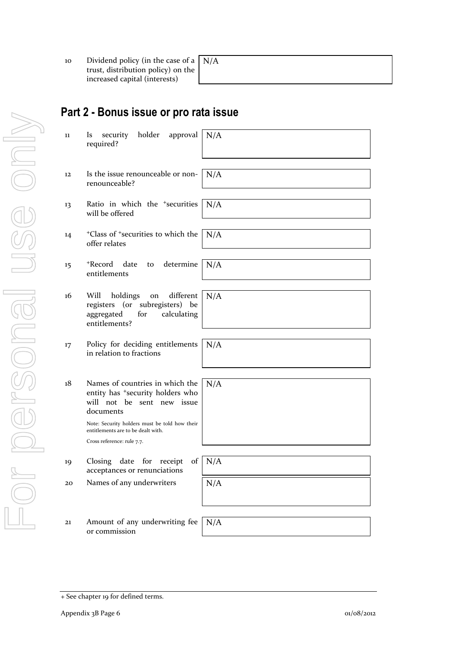10 Dividend policy (in the case of a trust, distribution policy) on the increased capital (interests)

N/A

# **Part 2 - Bonus issue or pro rata issue**

| 11 | holder<br>approval<br>security<br><b>ls</b><br>required?                                                                                                                    | N/A |
|----|-----------------------------------------------------------------------------------------------------------------------------------------------------------------------------|-----|
| 12 | Is the issue renounceable or non-<br>renounceable?                                                                                                                          | N/A |
| 13 | Ratio in which the <sup>+</sup> securities<br>will be offered                                                                                                               | N/A |
| 14 | <sup>+</sup> Class of <sup>+</sup> securities to which the<br>offer relates                                                                                                 | N/A |
| 15 | +Record<br>date<br>determine<br>to<br>entitlements                                                                                                                          | N/A |
| 16 | Will<br>holdings<br>different<br>on<br>(or subregisters)<br>registers<br>be<br>aggregated<br>calculating<br>for<br>entitlements?                                            | N/A |
| 17 | Policy for deciding entitlements<br>in relation to fractions                                                                                                                | N/A |
| 18 | Names of countries in which the<br>entity has <sup>+</sup> security holders who<br>will not be sent new issue<br>documents<br>Note: Security holders must be told how their | N/A |
|    | entitlements are to be dealt with.<br>Cross reference: rule 7.7.                                                                                                            |     |
| 19 | date<br>Closing<br>for<br>receipt<br>of<br>acceptances or renunciations                                                                                                     | N/A |
| 20 | Names of any underwriters                                                                                                                                                   | N/A |
| 21 | Amount of any underwriting fee<br>or commission                                                                                                                             | N/A |

<sup>+</sup> See chapter 19 for defined terms.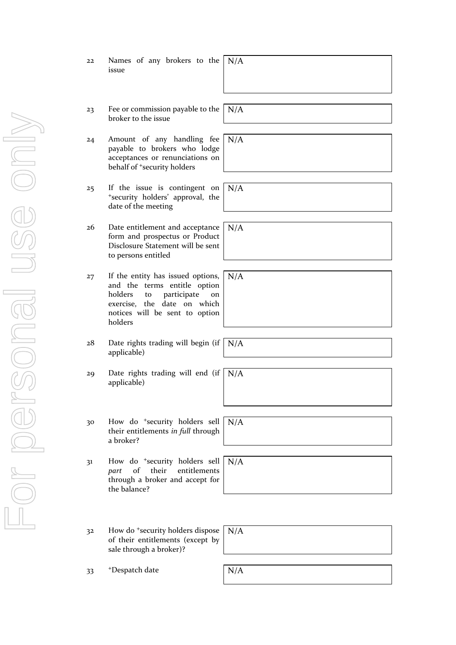| 22 |       |  | Names of any brokers to the $N/A$ |  |  |
|----|-------|--|-----------------------------------|--|--|
|    | issue |  |                                   |  |  |

- 23 Fee or commission payable to the broker to the issue
- 24 Amount of any handling fee payable to brokers who lodge acceptances or renunciations on behalf of <sup>+</sup>security holders
- 25 If the issue is contingent on <sup>+</sup>security holders' approval, the date of the meeting
- 26 Date entitlement and acceptance form and prospectus or Product Disclosure Statement will be sent to persons entitled
- 27 If the entity has issued options, and the terms entitle option holders to participate on exercise, the date on which notices will be sent to option holders
- 28 Date rights trading will begin (if applicable) N/A
- 29 Date rights trading will end (if applicable) N/A
- 30 How do <sup>+</sup>security holders sell their entitlements *in full* through a broker? N/A

31 How do <sup>+</sup>security holders sell *part* of their entitlements through a broker and accept for the balance?



32 How do <sup>+</sup>security holders dispose of their entitlements (except by sale through a broker)? N/A

33 +Despatch date N/A

N/A

N/A

N/A

N/A

N/A

For personal use only Forersonal use ond-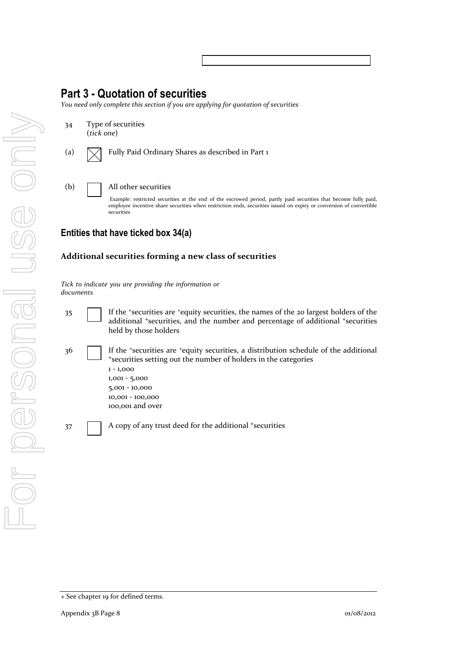## **Part 3 - Quotation of securities**

*You need only complete this section if you are applying for quotation of securities*

34 Type of securities (*tick one*) (a)  $\sqrt{\phantom{a}}$  Fully Paid Ordinary Shares as described in Part 1 (b) All other securities

Example: restricted securities at the end of the escrowed period, partly paid securities that become fully paid, employee incentive share securities when restriction ends, securities issued on expiry or conversion of convertible securities

### **Entities that have ticked box 34(a)**

#### **Additional securities forming a new class of securities**

*Tick to indicate you are providing the information or documents*

- 35 If the <sup>+</sup>securities are <sup>+</sup>equity securities, the names of the 20 largest holders of the additional <sup>+</sup>securities, and the number and percentage of additional <sup>+</sup>securities held by those holders
- 36 If the <sup>+</sup>securities are <sup>+</sup>equity securities, a distribution schedule of the additional <sup>+</sup>securities setting out the number of holders in the categories 1 - 1,000 1,001 - 5,000 5,001 - 10,000
	- 10,001 100,000
	- 100,001 and over

 $37$  A copy of any trust deed for the additional  $+$ securities

<sup>+</sup> See chapter 19 for defined terms.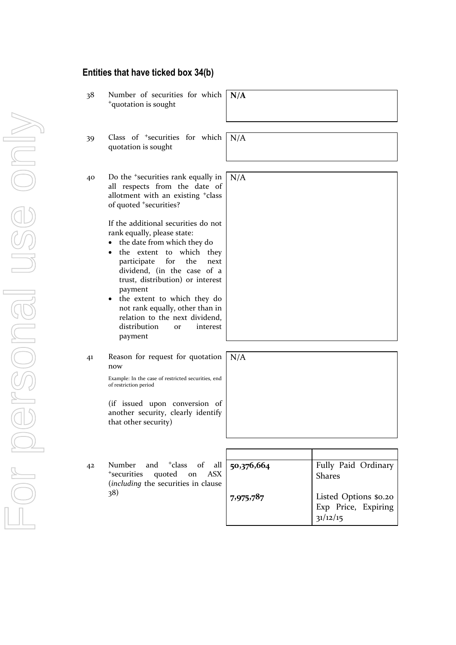#### **Entities that have ticked box 34(b)**

- 38 Number of securities for which <sup>+</sup>quotation is sought
- 39 Class of <sup>+</sup>securities for which quotation is sought
- 40 Do the <sup>+</sup>securities rank equally in all respects from the date of allotment with an existing <sup>+</sup>class of quoted <sup>+</sup>securities?

If the additional securities do not rank equally, please state:

- the date from which they do
- the extent to which they participate for the next dividend, (in the case of a trust, distribution) or interest payment
- not rank equally, other than in relation to the next dividend, distribution or interest payment
- 41 Reason for request for quotation now

Example: In the case of restricted securities, end of restriction period

(if issued upon conversion of another security, clearly identify that other security)

42 Number and <sup>+</sup>class of all <sup>+</sup>securities quoted on ASX (*including* the securities in clause 38)

| 50,376,664 | Fully Paid Ordinary<br><b>Shares</b>                     |
|------------|----------------------------------------------------------|
| 7,975,787  | Listed Options \$0.20<br>Exp Price, Expiring<br>31/12/15 |

N/A

N/A

**N/A**

the extent to which they do

N/A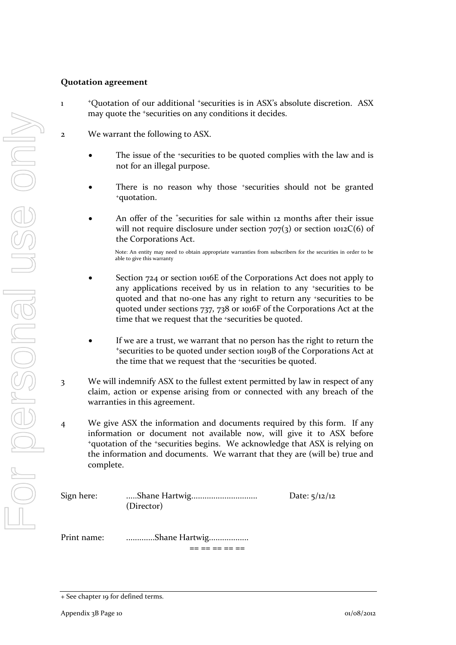#### **Quotation agreement**

- 1 <sup>+</sup>Quotation of our additional <sup>+</sup>securities is in ASX's absolute discretion. ASX may quote the <sup>+</sup>securities on any conditions it decides.
- 2 We warrant the following to ASX.
	- The issue of the +securities to be quoted complies with the law and is not for an illegal purpose.
	- There is no reason why those *\*securities* should not be granted <sup>+</sup>quotation.
	- An offer of the *'securities* for sale within 12 months after their issue will not require disclosure under section  $707(3)$  or section  $1012C(6)$  of the Corporations Act.

Note: An entity may need to obtain appropriate warranties from subscribers for the securities in order to be able to give this warranty

- Section 724 or section 1016E of the Corporations Act does not apply to any applications received by us in relation to any +securities to be quoted and that no-one has any right to return any +securities to be quoted under sections 737, 738 or 1016F of the Corporations Act at the time that we request that the <sup>+</sup>securities be quoted.
- If we are a trust, we warrant that no person has the right to return the <sup>+</sup>securities to be quoted under section 1019B of the Corporations Act at the time that we request that the +securities be quoted.
- 3 We will indemnify ASX to the fullest extent permitted by law in respect of any claim, action or expense arising from or connected with any breach of the warranties in this agreement.
- 4 We give ASX the information and documents required by this form. If any information or document not available now, will give it to ASX before <sup>+</sup>quotation of the <sup>+</sup>securities begins. We acknowledge that ASX is relying on the information and documents. We warrant that they are (will be) true and complete.

| Sign here:  | (Director)    | Date: $5/12/12$ |
|-------------|---------------|-----------------|
| Print name: | Shane Hartwig |                 |

<sup>+</sup> See chapter 19 for defined terms.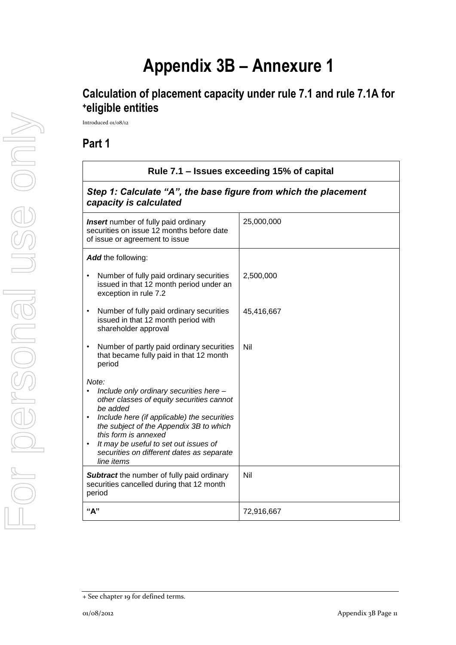# **Appendix 3B – Annexure 1**

# **Calculation of placement capacity under rule 7.1 and rule 7.1A for <sup>+</sup>eligible entities**

Introduced 01/08/12

## **Part 1**

| Rule 7.1 - Issues exceeding 15% of capital                                                                                                                                                                                                                                                                                      |            |  |
|---------------------------------------------------------------------------------------------------------------------------------------------------------------------------------------------------------------------------------------------------------------------------------------------------------------------------------|------------|--|
| Step 1: Calculate "A", the base figure from which the placement<br>capacity is calculated                                                                                                                                                                                                                                       |            |  |
| <b>Insert</b> number of fully paid ordinary<br>securities on issue 12 months before date<br>of issue or agreement to issue                                                                                                                                                                                                      | 25,000,000 |  |
| Add the following:                                                                                                                                                                                                                                                                                                              |            |  |
| Number of fully paid ordinary securities<br>issued in that 12 month period under an<br>exception in rule 7.2                                                                                                                                                                                                                    | 2,500,000  |  |
| Number of fully paid ordinary securities<br>issued in that 12 month period with<br>shareholder approval                                                                                                                                                                                                                         | 45,416,667 |  |
| Number of partly paid ordinary securities<br>that became fully paid in that 12 month<br>period                                                                                                                                                                                                                                  | Nil        |  |
| Note:<br>Include only ordinary securities here -<br>other classes of equity securities cannot<br>be added<br>Include here (if applicable) the securities<br>the subject of the Appendix 3B to which<br>this form is annexed<br>It may be useful to set out issues of<br>securities on different dates as separate<br>line items |            |  |
| <b>Subtract</b> the number of fully paid ordinary<br>securities cancelled during that 12 month<br>period                                                                                                                                                                                                                        | Nil        |  |
| "А"                                                                                                                                                                                                                                                                                                                             | 72,916,667 |  |

<sup>+</sup> See chapter 19 for defined terms.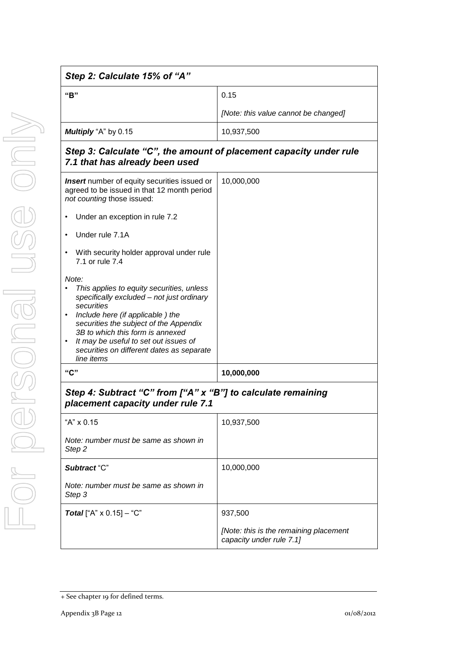| Step 2: Calculate 15% of "A"                                                                                              |                                      |  |  |
|---------------------------------------------------------------------------------------------------------------------------|--------------------------------------|--|--|
| "B"                                                                                                                       | 0.15                                 |  |  |
|                                                                                                                           | [Note: this value cannot be changed] |  |  |
| Multiply "A" by 0.15                                                                                                      | 10,937,500                           |  |  |
| Step 3: Calculate "C", the amount of placement capacity under rule<br>7.1 that has already been used                      |                                      |  |  |
| Insert number of equity securities issued or<br>agreed to be issued in that 12 month period<br>not counting those issued: | 10,000,000                           |  |  |
| Under an exception in rule 7.2<br>$\bullet$                                                                               |                                      |  |  |
| Under rule 7.1A<br>$\bullet$                                                                                              |                                      |  |  |
| With security holder approval under rule<br>$\bullet$<br>7.1 or rule 7.4                                                  |                                      |  |  |
| Note:                                                                                                                     |                                      |  |  |
| This applies to equity securities, unless<br>specifically excluded - not just ordinary                                    |                                      |  |  |
| securities<br>Include here (if applicable) the<br>$\bullet$                                                               |                                      |  |  |
| securities the subject of the Appendix<br>3B to which this form is annexed                                                |                                      |  |  |
| It may be useful to set out issues of<br>$\bullet$                                                                        |                                      |  |  |
| securities on different dates as separate<br>line items                                                                   |                                      |  |  |

## *Step 4: Subtract "C" from ["A" x "B"] to calculate remaining placement capacity under rule 7.1*

**"C" 10,000,000**

| "A" x 0.15                                      | 10,937,500                                                         |
|-------------------------------------------------|--------------------------------------------------------------------|
| Note: number must be same as shown in<br>Step 2 |                                                                    |
| Subtract "C"                                    | 10,000,000                                                         |
| Note: number must be same as shown in<br>Step 3 |                                                                    |
| <b>Total</b> ["A" $\times$ 0.15] – "C"          | 937,500                                                            |
|                                                 | [Note: this is the remaining placement<br>capacity under rule 7.1] |

<sup>+</sup> See chapter 19 for defined terms.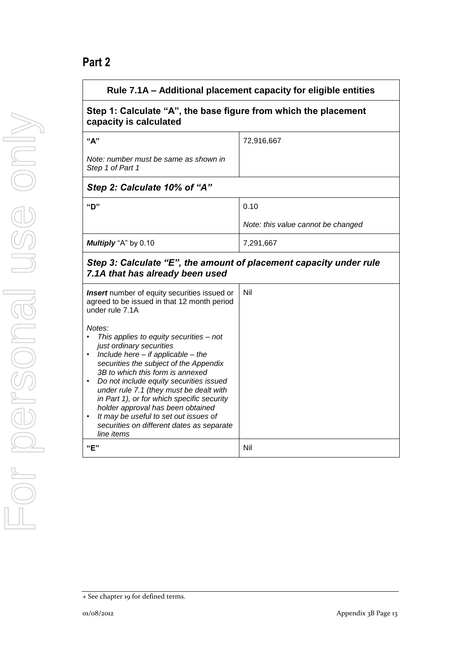# **Part 2**

| Rule 7.1A – Additional placement capacity for eligible entities                                                                                                                                                                                                                                                                                                                                                                                                                                              |                                    |  |  |
|--------------------------------------------------------------------------------------------------------------------------------------------------------------------------------------------------------------------------------------------------------------------------------------------------------------------------------------------------------------------------------------------------------------------------------------------------------------------------------------------------------------|------------------------------------|--|--|
| Step 1: Calculate "A", the base figure from which the placement<br>capacity is calculated                                                                                                                                                                                                                                                                                                                                                                                                                    |                                    |  |  |
| "A"                                                                                                                                                                                                                                                                                                                                                                                                                                                                                                          | 72,916,667                         |  |  |
| Note: number must be same as shown in<br>Step 1 of Part 1                                                                                                                                                                                                                                                                                                                                                                                                                                                    |                                    |  |  |
| Step 2: Calculate 10% of "A"                                                                                                                                                                                                                                                                                                                                                                                                                                                                                 |                                    |  |  |
| "D"                                                                                                                                                                                                                                                                                                                                                                                                                                                                                                          | 0.10                               |  |  |
|                                                                                                                                                                                                                                                                                                                                                                                                                                                                                                              | Note: this value cannot be changed |  |  |
| Multiply "A" by 0.10                                                                                                                                                                                                                                                                                                                                                                                                                                                                                         | 7,291,667                          |  |  |
| Step 3: Calculate "E", the amount of placement capacity under rule<br>7.1A that has already been used                                                                                                                                                                                                                                                                                                                                                                                                        |                                    |  |  |
| Nil<br><b>Insert</b> number of equity securities issued or<br>agreed to be issued in that 12 month period<br>under rule 7.1A                                                                                                                                                                                                                                                                                                                                                                                 |                                    |  |  |
| Notes:<br>This applies to equity securities - not<br>just ordinary securities<br>Include here $-$ if applicable $-$ the<br>$\bullet$<br>securities the subject of the Appendix<br>3B to which this form is annexed<br>Do not include equity securities issued<br>under rule 7.1 (they must be dealt with<br>in Part 1), or for which specific security<br>holder approval has been obtained<br>It may be useful to set out issues of<br>$\bullet$<br>securities on different dates as separate<br>line items |                                    |  |  |
| "E"                                                                                                                                                                                                                                                                                                                                                                                                                                                                                                          | Nil                                |  |  |

<sup>+</sup> See chapter 19 for defined terms.